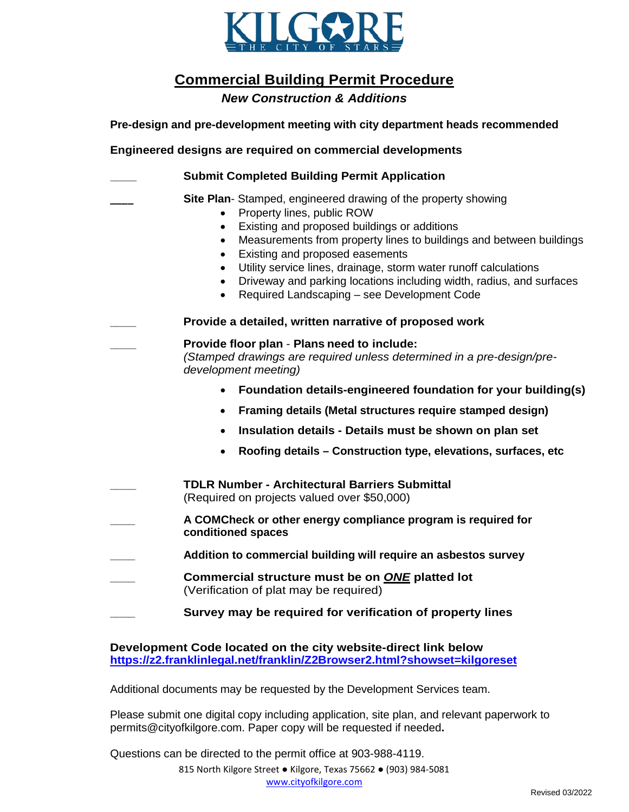

**Commercial Building Permit Procedure**

*New Construction & Additions*

**Pre-design and pre-development meeting with city department heads recommended**

**Engineered designs are required on commercial developments**

| <b>Submit Completed Building Permit Application</b>                                                                                                                                                                                                                                                                                                                                                                                                                                                  |
|------------------------------------------------------------------------------------------------------------------------------------------------------------------------------------------------------------------------------------------------------------------------------------------------------------------------------------------------------------------------------------------------------------------------------------------------------------------------------------------------------|
| Site Plan-Stamped, engineered drawing of the property showing<br>Property lines, public ROW<br>$\bullet$<br>Existing and proposed buildings or additions<br>$\bullet$<br>Measurements from property lines to buildings and between buildings<br>Existing and proposed easements<br>Utility service lines, drainage, storm water runoff calculations<br>Driveway and parking locations including width, radius, and surfaces<br>$\bullet$<br>Required Landscaping - see Development Code<br>$\bullet$ |
| Provide a detailed, written narrative of proposed work                                                                                                                                                                                                                                                                                                                                                                                                                                               |
| Provide floor plan - Plans need to include:<br>(Stamped drawings are required unless determined in a pre-design/pre-<br>development meeting)                                                                                                                                                                                                                                                                                                                                                         |
| Foundation details-engineered foundation for your building(s)<br>$\bullet$                                                                                                                                                                                                                                                                                                                                                                                                                           |
| Framing details (Metal structures require stamped design)<br>$\bullet$                                                                                                                                                                                                                                                                                                                                                                                                                               |
| Insulation details - Details must be shown on plan set<br>$\bullet$                                                                                                                                                                                                                                                                                                                                                                                                                                  |
| Roofing details - Construction type, elevations, surfaces, etc<br>$\bullet$                                                                                                                                                                                                                                                                                                                                                                                                                          |
| <b>TDLR Number - Architectural Barriers Submittal</b><br>(Required on projects valued over \$50,000)                                                                                                                                                                                                                                                                                                                                                                                                 |
| A COMCheck or other energy compliance program is required for<br>conditioned spaces                                                                                                                                                                                                                                                                                                                                                                                                                  |
| Addition to commercial building will require an asbestos survey                                                                                                                                                                                                                                                                                                                                                                                                                                      |
| Commercial structure must be on ONE platted lot<br>(Verification of plat may be required)                                                                                                                                                                                                                                                                                                                                                                                                            |
| Survey may be required for verification of property lines                                                                                                                                                                                                                                                                                                                                                                                                                                            |

**Development Code located on the city website-direct link below <https://z2.franklinlegal.net/franklin/Z2Browser2.html?showset=kilgoreset>**

Additional documents may be requested by the Development Services team.

Please submit one digital copy including application, site plan, and relevant paperwork to permits@cityofkilgore.com. Paper copy will be requested if needed**.** 

Questions can be directed to the permit office at 903-988-4119.

815 North Kilgore Street ● Kilgore, Texas 75662 ● (903) 984-5081 [www.cityofkilgore.com](http://www.cityofkilgore.com/)